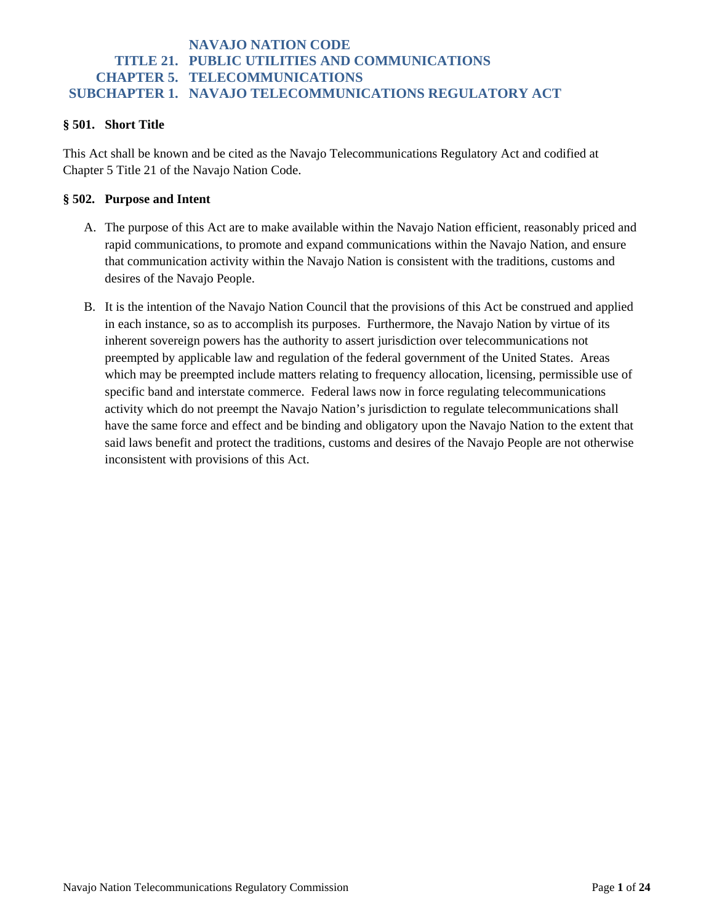#### **§ 501. Short Title**

This Act shall be known and be cited as the Navajo Telecommunications Regulatory Act and codified at Chapter 5 Title 21 of the Navajo Nation Code.

#### **§ 502. Purpose and Intent**

- A. The purpose of this Act are to make available within the Navajo Nation efficient, reasonably priced and rapid communications, to promote and expand communications within the Navajo Nation, and ensure that communication activity within the Navajo Nation is consistent with the traditions, customs and desires of the Navajo People.
- B. It is the intention of the Navajo Nation Council that the provisions of this Act be construed and applied in each instance, so as to accomplish its purposes. Furthermore, the Navajo Nation by virtue of its inherent sovereign powers has the authority to assert jurisdiction over telecommunications not preempted by applicable law and regulation of the federal government of the United States. Areas which may be preempted include matters relating to frequency allocation, licensing, permissible use of specific band and interstate commerce. Federal laws now in force regulating telecommunications activity which do not preempt the Navajo Nation's jurisdiction to regulate telecommunications shall have the same force and effect and be binding and obligatory upon the Navajo Nation to the extent that said laws benefit and protect the traditions, customs and desires of the Navajo People are not otherwise inconsistent with provisions of this Act.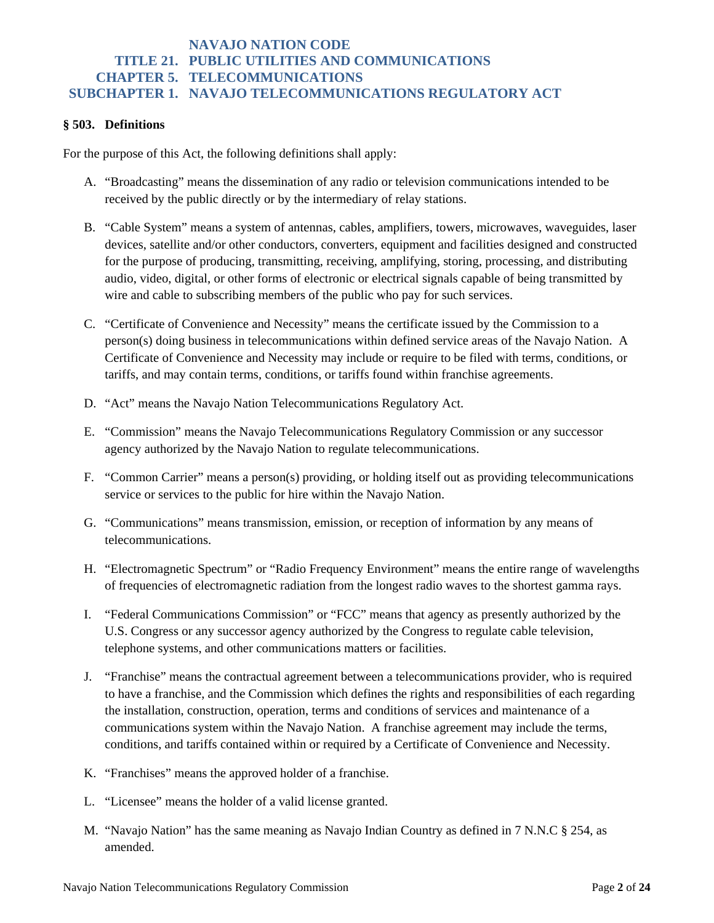#### **§ 503. Definitions**

For the purpose of this Act, the following definitions shall apply:

- A. "Broadcasting" means the dissemination of any radio or television communications intended to be received by the public directly or by the intermediary of relay stations.
- B. "Cable System" means a system of antennas, cables, amplifiers, towers, microwaves, waveguides, laser devices, satellite and/or other conductors, converters, equipment and facilities designed and constructed for the purpose of producing, transmitting, receiving, amplifying, storing, processing, and distributing audio, video, digital, or other forms of electronic or electrical signals capable of being transmitted by wire and cable to subscribing members of the public who pay for such services.
- C. "Certificate of Convenience and Necessity" means the certificate issued by the Commission to a person(s) doing business in telecommunications within defined service areas of the Navajo Nation. A Certificate of Convenience and Necessity may include or require to be filed with terms, conditions, or tariffs, and may contain terms, conditions, or tariffs found within franchise agreements.
- D. "Act" means the Navajo Nation Telecommunications Regulatory Act.
- E. "Commission" means the Navajo Telecommunications Regulatory Commission or any successor agency authorized by the Navajo Nation to regulate telecommunications.
- F. "Common Carrier" means a person(s) providing, or holding itself out as providing telecommunications service or services to the public for hire within the Navajo Nation.
- G. "Communications" means transmission, emission, or reception of information by any means of telecommunications.
- H. "Electromagnetic Spectrum" or "Radio Frequency Environment" means the entire range of wavelengths of frequencies of electromagnetic radiation from the longest radio waves to the shortest gamma rays.
- I. "Federal Communications Commission" or "FCC" means that agency as presently authorized by the U.S. Congress or any successor agency authorized by the Congress to regulate cable television, telephone systems, and other communications matters or facilities.
- J. "Franchise" means the contractual agreement between a telecommunications provider, who is required to have a franchise, and the Commission which defines the rights and responsibilities of each regarding the installation, construction, operation, terms and conditions of services and maintenance of a communications system within the Navajo Nation. A franchise agreement may include the terms, conditions, and tariffs contained within or required by a Certificate of Convenience and Necessity.
- K. "Franchises" means the approved holder of a franchise.
- L. "Licensee" means the holder of a valid license granted.
- M. "Navajo Nation" has the same meaning as Navajo Indian Country as defined in 7 N.N.C § 254, as amended.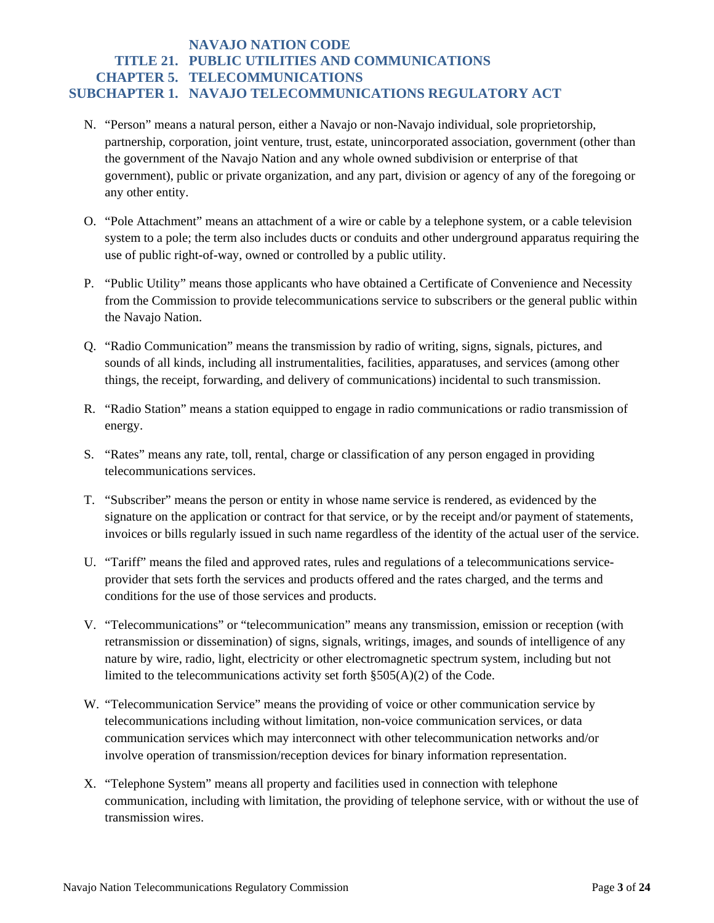- N. "Person" means a natural person, either a Navajo or non-Navajo individual, sole proprietorship, partnership, corporation, joint venture, trust, estate, unincorporated association, government (other than the government of the Navajo Nation and any whole owned subdivision or enterprise of that government), public or private organization, and any part, division or agency of any of the foregoing or any other entity.
- O. "Pole Attachment" means an attachment of a wire or cable by a telephone system, or a cable television system to a pole; the term also includes ducts or conduits and other underground apparatus requiring the use of public right-of-way, owned or controlled by a public utility.
- P. "Public Utility" means those applicants who have obtained a Certificate of Convenience and Necessity from the Commission to provide telecommunications service to subscribers or the general public within the Navajo Nation.
- Q. "Radio Communication" means the transmission by radio of writing, signs, signals, pictures, and sounds of all kinds, including all instrumentalities, facilities, apparatuses, and services (among other things, the receipt, forwarding, and delivery of communications) incidental to such transmission.
- R. "Radio Station" means a station equipped to engage in radio communications or radio transmission of energy.
- S. "Rates" means any rate, toll, rental, charge or classification of any person engaged in providing telecommunications services.
- T. "Subscriber" means the person or entity in whose name service is rendered, as evidenced by the signature on the application or contract for that service, or by the receipt and/or payment of statements, invoices or bills regularly issued in such name regardless of the identity of the actual user of the service.
- U. "Tariff" means the filed and approved rates, rules and regulations of a telecommunications serviceprovider that sets forth the services and products offered and the rates charged, and the terms and conditions for the use of those services and products.
- V. "Telecommunications" or "telecommunication" means any transmission, emission or reception (with retransmission or dissemination) of signs, signals, writings, images, and sounds of intelligence of any nature by wire, radio, light, electricity or other electromagnetic spectrum system, including but not limited to the telecommunications activity set forth §505(A)(2) of the Code.
- W. "Telecommunication Service" means the providing of voice or other communication service by telecommunications including without limitation, non-voice communication services, or data communication services which may interconnect with other telecommunication networks and/or involve operation of transmission/reception devices for binary information representation.
- X. "Telephone System" means all property and facilities used in connection with telephone communication, including with limitation, the providing of telephone service, with or without the use of transmission wires.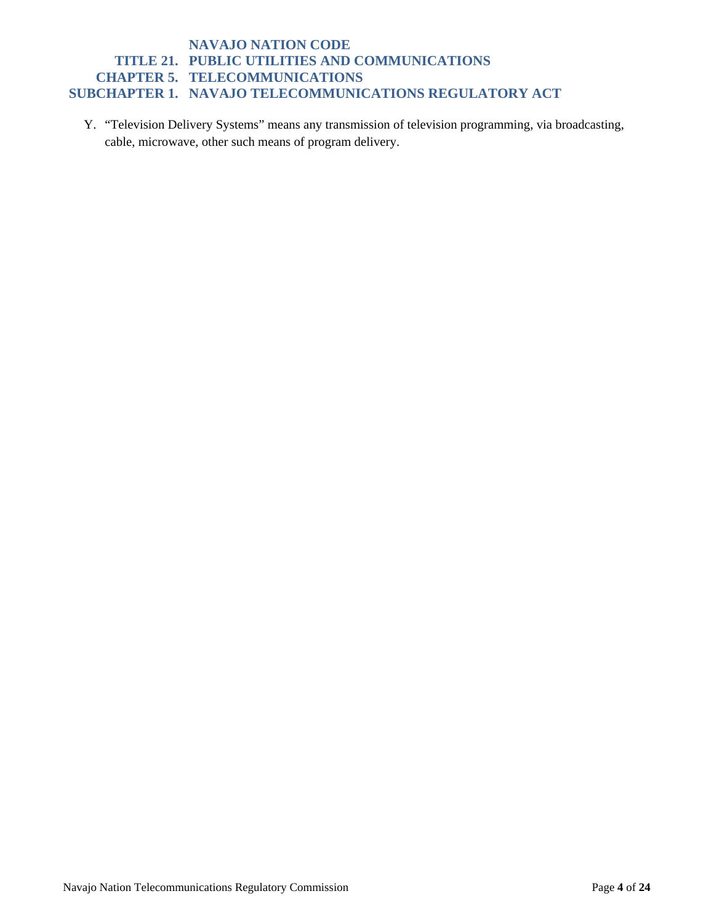Y. "Television Delivery Systems" means any transmission of television programming, via broadcasting, cable, microwave, other such means of program delivery.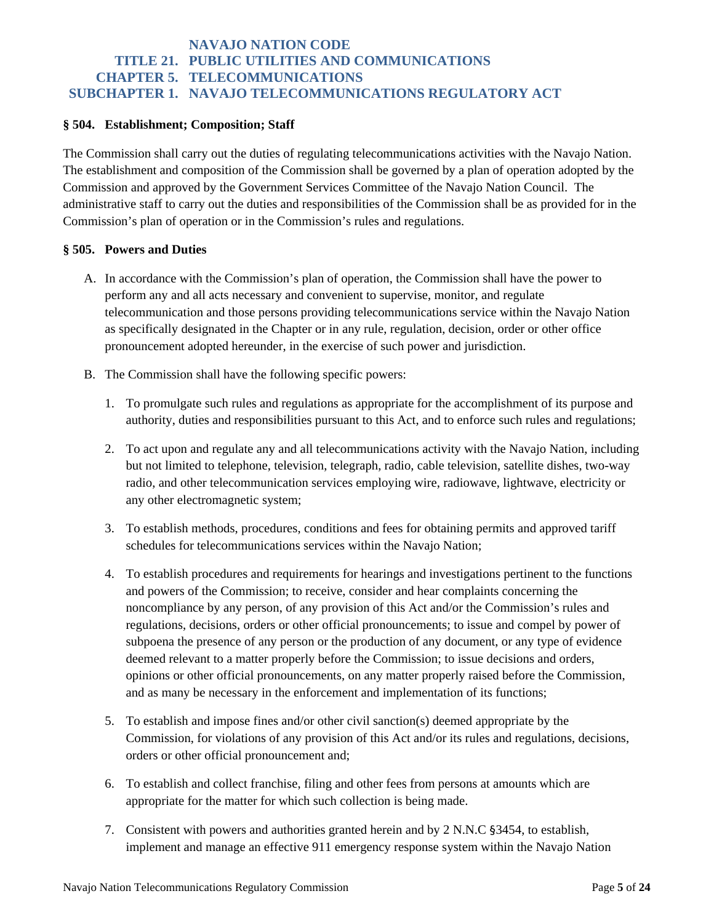#### **§ 504. Establishment; Composition; Staff**

The Commission shall carry out the duties of regulating telecommunications activities with the Navajo Nation. The establishment and composition of the Commission shall be governed by a plan of operation adopted by the Commission and approved by the Government Services Committee of the Navajo Nation Council. The administrative staff to carry out the duties and responsibilities of the Commission shall be as provided for in the Commission's plan of operation or in the Commission's rules and regulations.

#### **§ 505. Powers and Duties**

- A. In accordance with the Commission's plan of operation, the Commission shall have the power to perform any and all acts necessary and convenient to supervise, monitor, and regulate telecommunication and those persons providing telecommunications service within the Navajo Nation as specifically designated in the Chapter or in any rule, regulation, decision, order or other office pronouncement adopted hereunder, in the exercise of such power and jurisdiction.
- B. The Commission shall have the following specific powers:
	- 1. To promulgate such rules and regulations as appropriate for the accomplishment of its purpose and authority, duties and responsibilities pursuant to this Act, and to enforce such rules and regulations;
	- 2. To act upon and regulate any and all telecommunications activity with the Navajo Nation, including but not limited to telephone, television, telegraph, radio, cable television, satellite dishes, two-way radio, and other telecommunication services employing wire, radiowave, lightwave, electricity or any other electromagnetic system;
	- 3. To establish methods, procedures, conditions and fees for obtaining permits and approved tariff schedules for telecommunications services within the Navajo Nation;
	- 4. To establish procedures and requirements for hearings and investigations pertinent to the functions and powers of the Commission; to receive, consider and hear complaints concerning the noncompliance by any person, of any provision of this Act and/or the Commission's rules and regulations, decisions, orders or other official pronouncements; to issue and compel by power of subpoena the presence of any person or the production of any document, or any type of evidence deemed relevant to a matter properly before the Commission; to issue decisions and orders, opinions or other official pronouncements, on any matter properly raised before the Commission, and as many be necessary in the enforcement and implementation of its functions;
	- 5. To establish and impose fines and/or other civil sanction(s) deemed appropriate by the Commission, for violations of any provision of this Act and/or its rules and regulations, decisions, orders or other official pronouncement and;
	- 6. To establish and collect franchise, filing and other fees from persons at amounts which are appropriate for the matter for which such collection is being made.
	- 7. Consistent with powers and authorities granted herein and by 2 N.N.C §3454, to establish, implement and manage an effective 911 emergency response system within the Navajo Nation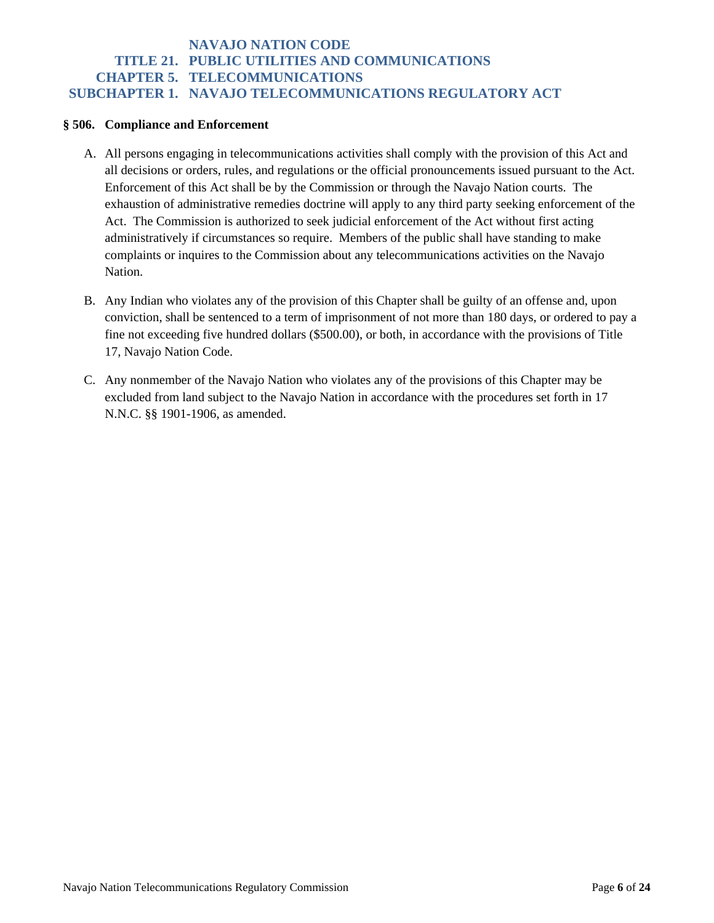#### **§ 506. Compliance and Enforcement**

- A. All persons engaging in telecommunications activities shall comply with the provision of this Act and all decisions or orders, rules, and regulations or the official pronouncements issued pursuant to the Act. Enforcement of this Act shall be by the Commission or through the Navajo Nation courts. The exhaustion of administrative remedies doctrine will apply to any third party seeking enforcement of the Act. The Commission is authorized to seek judicial enforcement of the Act without first acting administratively if circumstances so require. Members of the public shall have standing to make complaints or inquires to the Commission about any telecommunications activities on the Navajo Nation.
- B. Any Indian who violates any of the provision of this Chapter shall be guilty of an offense and, upon conviction, shall be sentenced to a term of imprisonment of not more than 180 days, or ordered to pay a fine not exceeding five hundred dollars (\$500.00), or both, in accordance with the provisions of Title 17, Navajo Nation Code.
- C. Any nonmember of the Navajo Nation who violates any of the provisions of this Chapter may be excluded from land subject to the Navajo Nation in accordance with the procedures set forth in 17 N.N.C. §§ 1901-1906, as amended.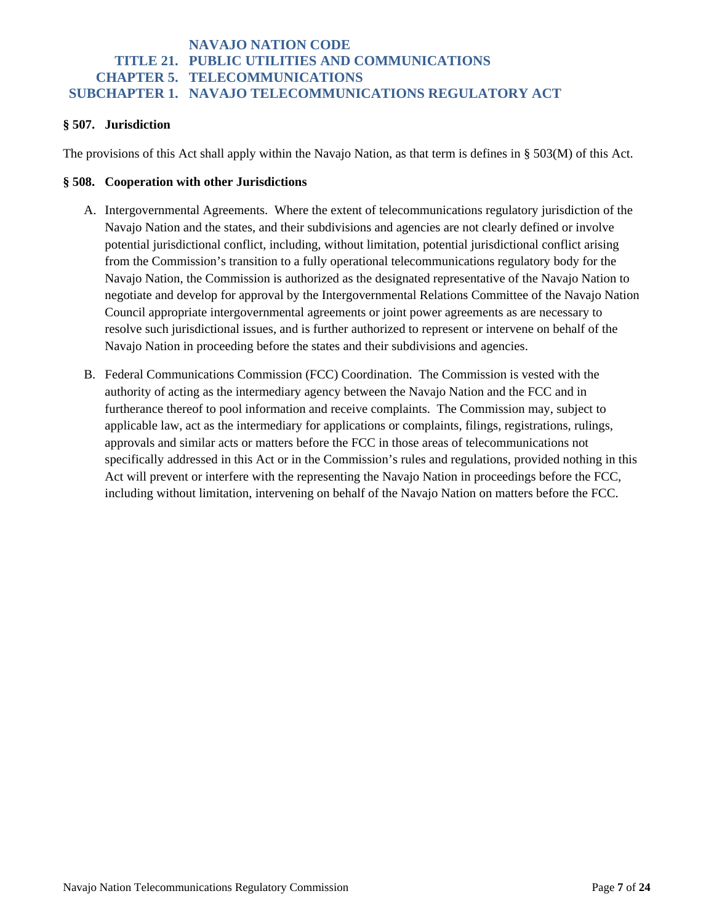### **§ 507. Jurisdiction**

The provisions of this Act shall apply within the Navajo Nation, as that term is defines in § 503(M) of this Act.

#### **§ 508. Cooperation with other Jurisdictions**

- A. Intergovernmental Agreements. Where the extent of telecommunications regulatory jurisdiction of the Navajo Nation and the states, and their subdivisions and agencies are not clearly defined or involve potential jurisdictional conflict, including, without limitation, potential jurisdictional conflict arising from the Commission's transition to a fully operational telecommunications regulatory body for the Navajo Nation, the Commission is authorized as the designated representative of the Navajo Nation to negotiate and develop for approval by the Intergovernmental Relations Committee of the Navajo Nation Council appropriate intergovernmental agreements or joint power agreements as are necessary to resolve such jurisdictional issues, and is further authorized to represent or intervene on behalf of the Navajo Nation in proceeding before the states and their subdivisions and agencies.
- B. Federal Communications Commission (FCC) Coordination. The Commission is vested with the authority of acting as the intermediary agency between the Navajo Nation and the FCC and in furtherance thereof to pool information and receive complaints. The Commission may, subject to applicable law, act as the intermediary for applications or complaints, filings, registrations, rulings, approvals and similar acts or matters before the FCC in those areas of telecommunications not specifically addressed in this Act or in the Commission's rules and regulations, provided nothing in this Act will prevent or interfere with the representing the Navajo Nation in proceedings before the FCC, including without limitation, intervening on behalf of the Navajo Nation on matters before the FCC.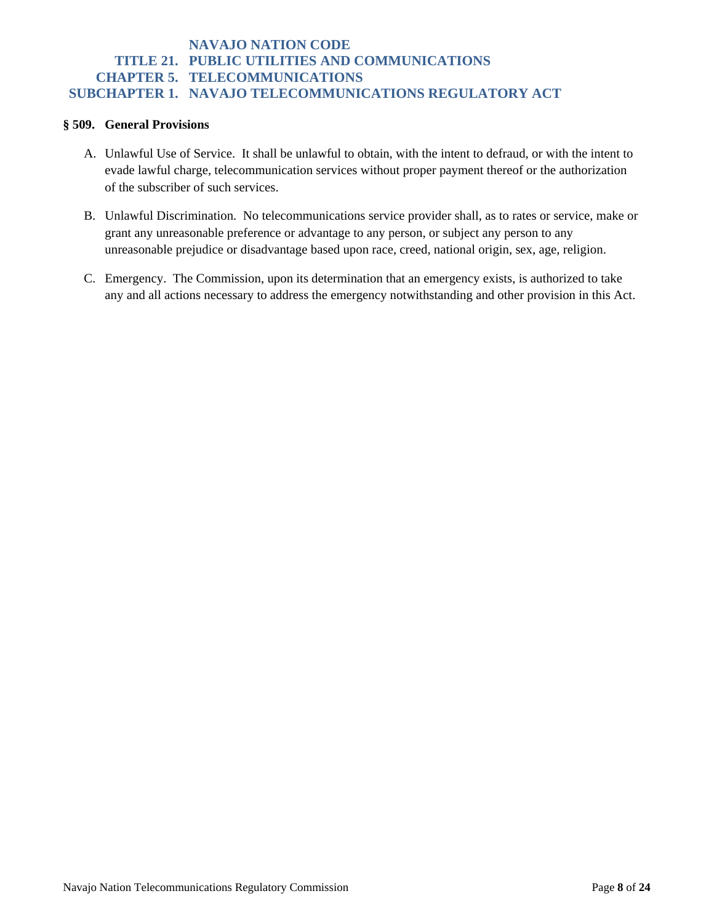#### **§ 509. General Provisions**

- A. Unlawful Use of Service. It shall be unlawful to obtain, with the intent to defraud, or with the intent to evade lawful charge, telecommunication services without proper payment thereof or the authorization of the subscriber of such services.
- B. Unlawful Discrimination. No telecommunications service provider shall, as to rates or service, make or grant any unreasonable preference or advantage to any person, or subject any person to any unreasonable prejudice or disadvantage based upon race, creed, national origin, sex, age, religion.
- C. Emergency. The Commission, upon its determination that an emergency exists, is authorized to take any and all actions necessary to address the emergency notwithstanding and other provision in this Act.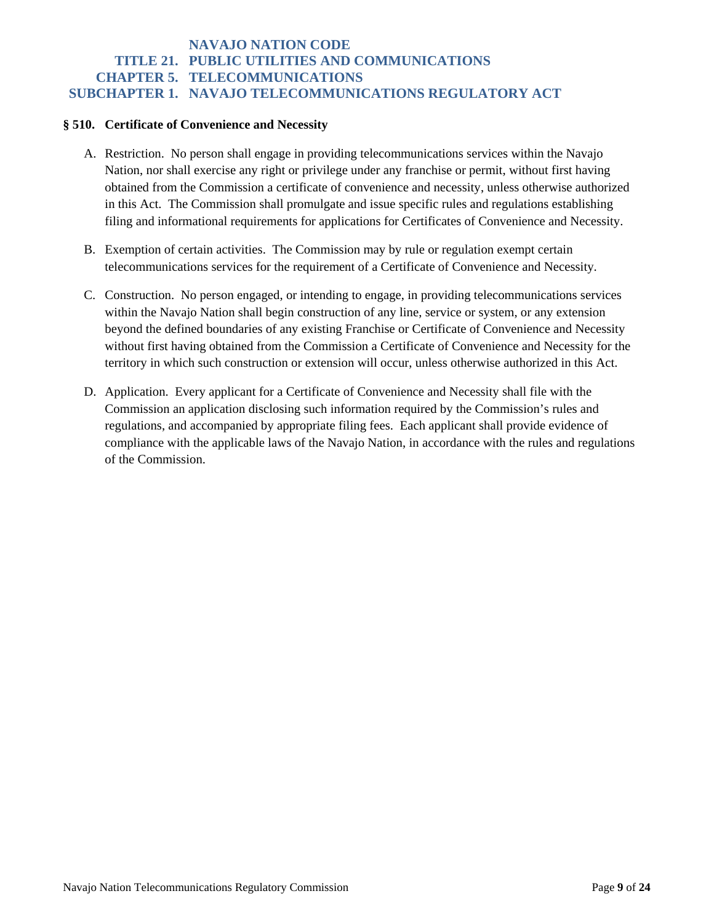#### **§ 510. Certificate of Convenience and Necessity**

- A. Restriction. No person shall engage in providing telecommunications services within the Navajo Nation, nor shall exercise any right or privilege under any franchise or permit, without first having obtained from the Commission a certificate of convenience and necessity, unless otherwise authorized in this Act. The Commission shall promulgate and issue specific rules and regulations establishing filing and informational requirements for applications for Certificates of Convenience and Necessity.
- B. Exemption of certain activities. The Commission may by rule or regulation exempt certain telecommunications services for the requirement of a Certificate of Convenience and Necessity.
- C. Construction. No person engaged, or intending to engage, in providing telecommunications services within the Navajo Nation shall begin construction of any line, service or system, or any extension beyond the defined boundaries of any existing Franchise or Certificate of Convenience and Necessity without first having obtained from the Commission a Certificate of Convenience and Necessity for the territory in which such construction or extension will occur, unless otherwise authorized in this Act.
- D. Application. Every applicant for a Certificate of Convenience and Necessity shall file with the Commission an application disclosing such information required by the Commission's rules and regulations, and accompanied by appropriate filing fees. Each applicant shall provide evidence of compliance with the applicable laws of the Navajo Nation, in accordance with the rules and regulations of the Commission.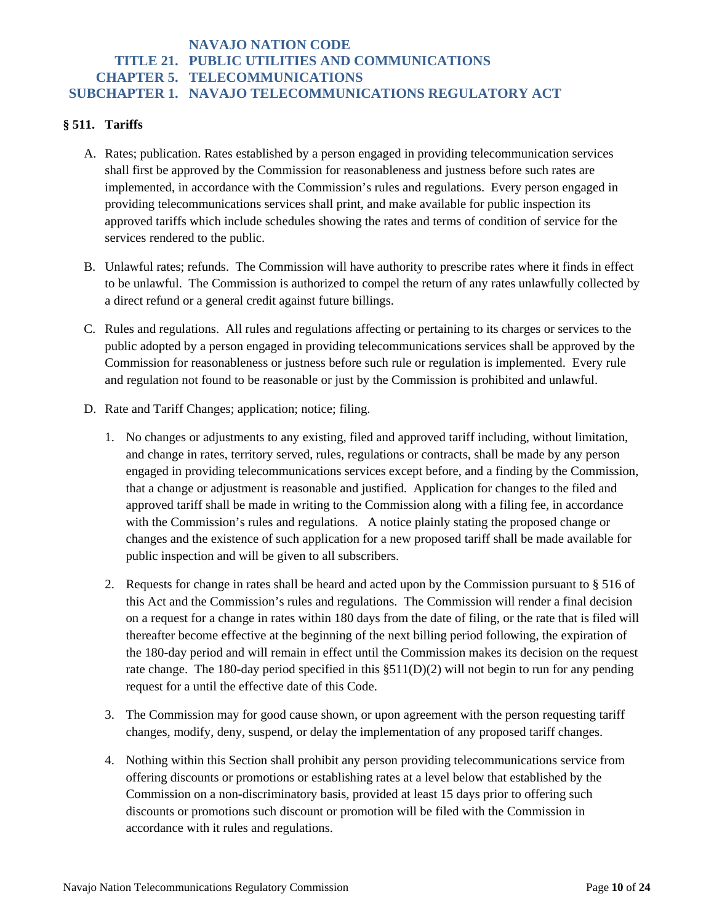### **§ 511. Tariffs**

- A. Rates; publication. Rates established by a person engaged in providing telecommunication services shall first be approved by the Commission for reasonableness and justness before such rates are implemented, in accordance with the Commission's rules and regulations. Every person engaged in providing telecommunications services shall print, and make available for public inspection its approved tariffs which include schedules showing the rates and terms of condition of service for the services rendered to the public.
- B. Unlawful rates; refunds. The Commission will have authority to prescribe rates where it finds in effect to be unlawful. The Commission is authorized to compel the return of any rates unlawfully collected by a direct refund or a general credit against future billings.
- C. Rules and regulations. All rules and regulations affecting or pertaining to its charges or services to the public adopted by a person engaged in providing telecommunications services shall be approved by the Commission for reasonableness or justness before such rule or regulation is implemented. Every rule and regulation not found to be reasonable or just by the Commission is prohibited and unlawful.
- D. Rate and Tariff Changes; application; notice; filing.
	- 1. No changes or adjustments to any existing, filed and approved tariff including, without limitation, and change in rates, territory served, rules, regulations or contracts, shall be made by any person engaged in providing telecommunications services except before, and a finding by the Commission, that a change or adjustment is reasonable and justified. Application for changes to the filed and approved tariff shall be made in writing to the Commission along with a filing fee, in accordance with the Commission's rules and regulations. A notice plainly stating the proposed change or changes and the existence of such application for a new proposed tariff shall be made available for public inspection and will be given to all subscribers.
	- 2. Requests for change in rates shall be heard and acted upon by the Commission pursuant to § 516 of this Act and the Commission's rules and regulations. The Commission will render a final decision on a request for a change in rates within 180 days from the date of filing, or the rate that is filed will thereafter become effective at the beginning of the next billing period following, the expiration of the 180-day period and will remain in effect until the Commission makes its decision on the request rate change. The 180-day period specified in this §511(D)(2) will not begin to run for any pending request for a until the effective date of this Code.
	- 3. The Commission may for good cause shown, or upon agreement with the person requesting tariff changes, modify, deny, suspend, or delay the implementation of any proposed tariff changes.
	- 4. Nothing within this Section shall prohibit any person providing telecommunications service from offering discounts or promotions or establishing rates at a level below that established by the Commission on a non-discriminatory basis, provided at least 15 days prior to offering such discounts or promotions such discount or promotion will be filed with the Commission in accordance with it rules and regulations.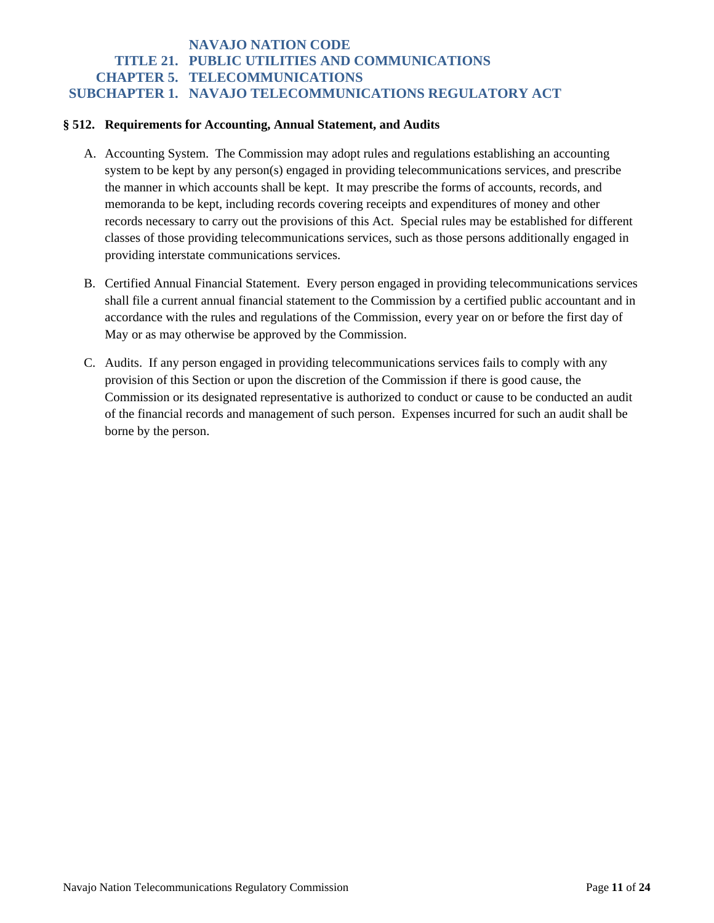#### **§ 512. Requirements for Accounting, Annual Statement, and Audits**

- A. Accounting System. The Commission may adopt rules and regulations establishing an accounting system to be kept by any person(s) engaged in providing telecommunications services, and prescribe the manner in which accounts shall be kept. It may prescribe the forms of accounts, records, and memoranda to be kept, including records covering receipts and expenditures of money and other records necessary to carry out the provisions of this Act. Special rules may be established for different classes of those providing telecommunications services, such as those persons additionally engaged in providing interstate communications services.
- B. Certified Annual Financial Statement. Every person engaged in providing telecommunications services shall file a current annual financial statement to the Commission by a certified public accountant and in accordance with the rules and regulations of the Commission, every year on or before the first day of May or as may otherwise be approved by the Commission.
- C. Audits. If any person engaged in providing telecommunications services fails to comply with any provision of this Section or upon the discretion of the Commission if there is good cause, the Commission or its designated representative is authorized to conduct or cause to be conducted an audit of the financial records and management of such person. Expenses incurred for such an audit shall be borne by the person.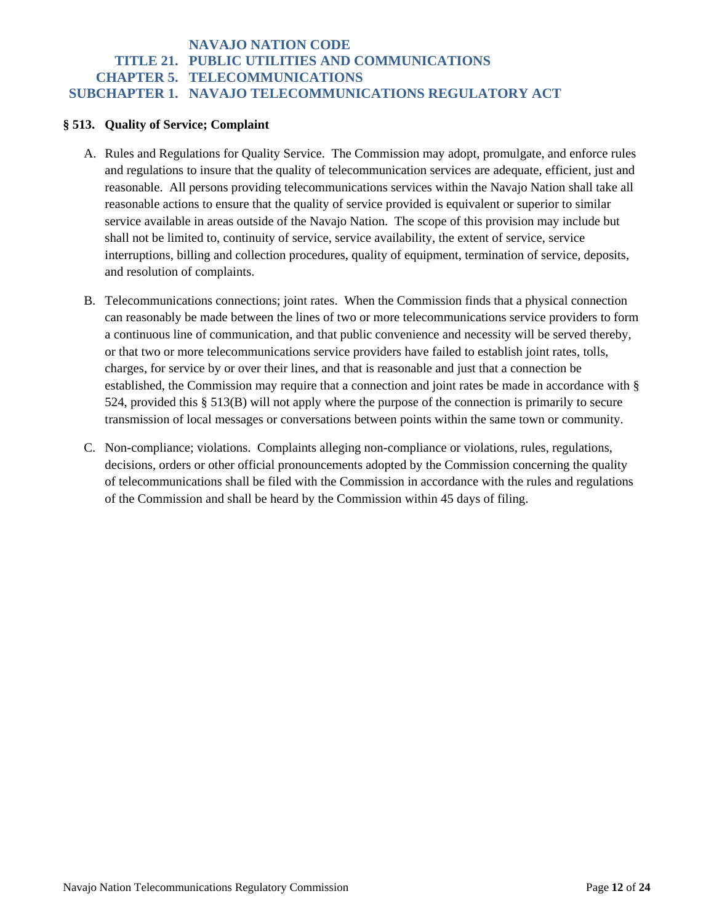#### **§ 513. Quality of Service; Complaint**

- A. Rules and Regulations for Quality Service. The Commission may adopt, promulgate, and enforce rules and regulations to insure that the quality of telecommunication services are adequate, efficient, just and reasonable. All persons providing telecommunications services within the Navajo Nation shall take all reasonable actions to ensure that the quality of service provided is equivalent or superior to similar service available in areas outside of the Navajo Nation. The scope of this provision may include but shall not be limited to, continuity of service, service availability, the extent of service, service interruptions, billing and collection procedures, quality of equipment, termination of service, deposits, and resolution of complaints.
- B. Telecommunications connections; joint rates. When the Commission finds that a physical connection can reasonably be made between the lines of two or more telecommunications service providers to form a continuous line of communication, and that public convenience and necessity will be served thereby, or that two or more telecommunications service providers have failed to establish joint rates, tolls, charges, for service by or over their lines, and that is reasonable and just that a connection be established, the Commission may require that a connection and joint rates be made in accordance with § 524, provided this § 513(B) will not apply where the purpose of the connection is primarily to secure transmission of local messages or conversations between points within the same town or community.
- C. Non-compliance; violations. Complaints alleging non-compliance or violations, rules, regulations, decisions, orders or other official pronouncements adopted by the Commission concerning the quality of telecommunications shall be filed with the Commission in accordance with the rules and regulations of the Commission and shall be heard by the Commission within 45 days of filing.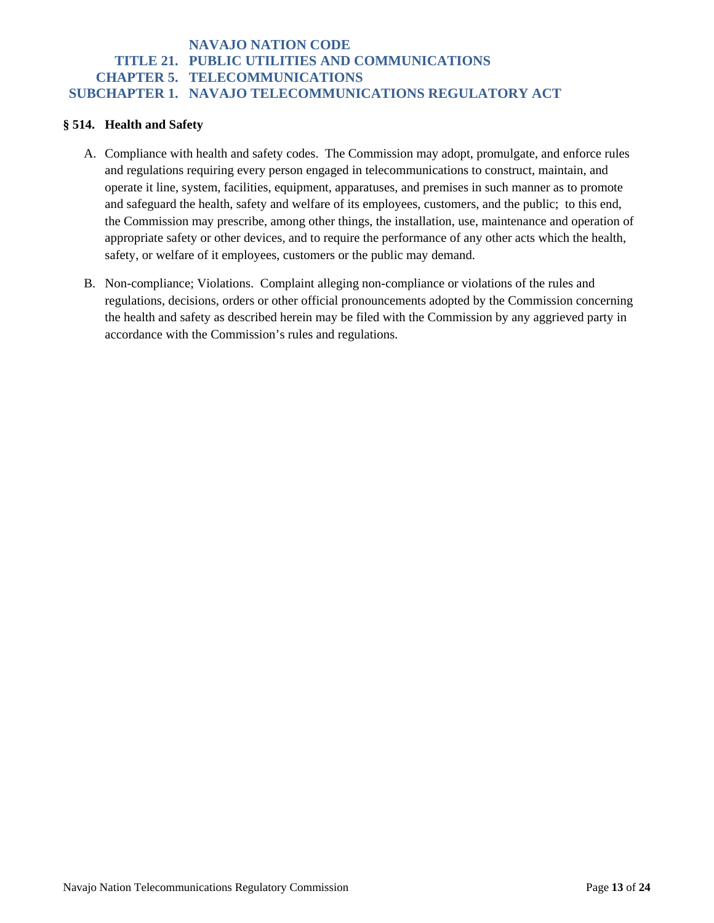#### **§ 514. Health and Safety**

- A. Compliance with health and safety codes. The Commission may adopt, promulgate, and enforce rules and regulations requiring every person engaged in telecommunications to construct, maintain, and operate it line, system, facilities, equipment, apparatuses, and premises in such manner as to promote and safeguard the health, safety and welfare of its employees, customers, and the public; to this end, the Commission may prescribe, among other things, the installation, use, maintenance and operation of appropriate safety or other devices, and to require the performance of any other acts which the health, safety, or welfare of it employees, customers or the public may demand.
- B. Non-compliance; Violations. Complaint alleging non-compliance or violations of the rules and regulations, decisions, orders or other official pronouncements adopted by the Commission concerning the health and safety as described herein may be filed with the Commission by any aggrieved party in accordance with the Commission's rules and regulations.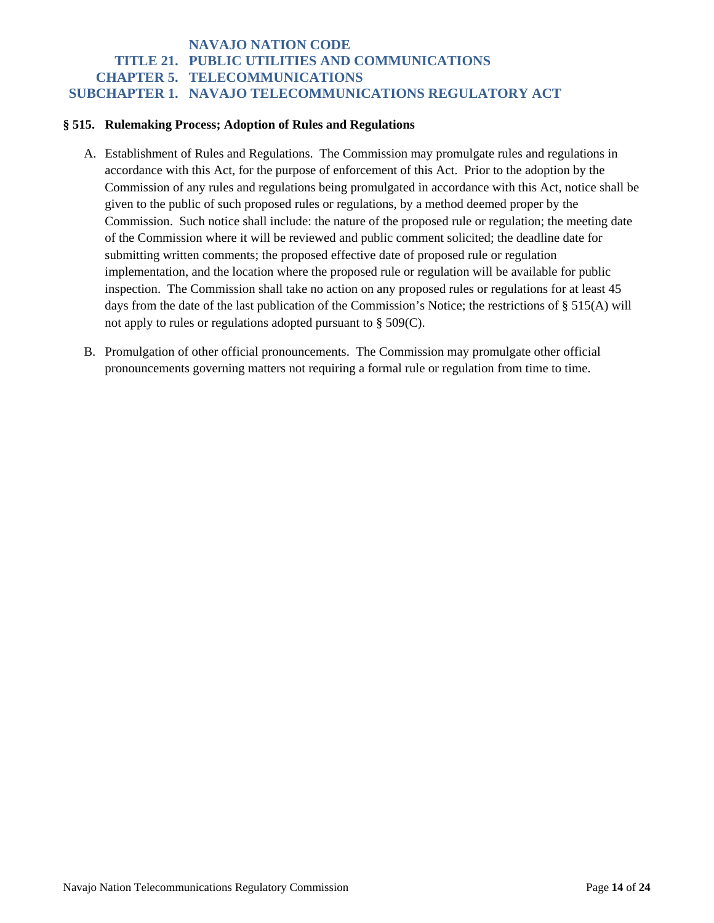#### **§ 515. Rulemaking Process; Adoption of Rules and Regulations**

- A. Establishment of Rules and Regulations. The Commission may promulgate rules and regulations in accordance with this Act, for the purpose of enforcement of this Act. Prior to the adoption by the Commission of any rules and regulations being promulgated in accordance with this Act, notice shall be given to the public of such proposed rules or regulations, by a method deemed proper by the Commission. Such notice shall include: the nature of the proposed rule or regulation; the meeting date of the Commission where it will be reviewed and public comment solicited; the deadline date for submitting written comments; the proposed effective date of proposed rule or regulation implementation, and the location where the proposed rule or regulation will be available for public inspection. The Commission shall take no action on any proposed rules or regulations for at least 45 days from the date of the last publication of the Commission's Notice; the restrictions of § 515(A) will not apply to rules or regulations adopted pursuant to § 509(C).
- B. Promulgation of other official pronouncements. The Commission may promulgate other official pronouncements governing matters not requiring a formal rule or regulation from time to time.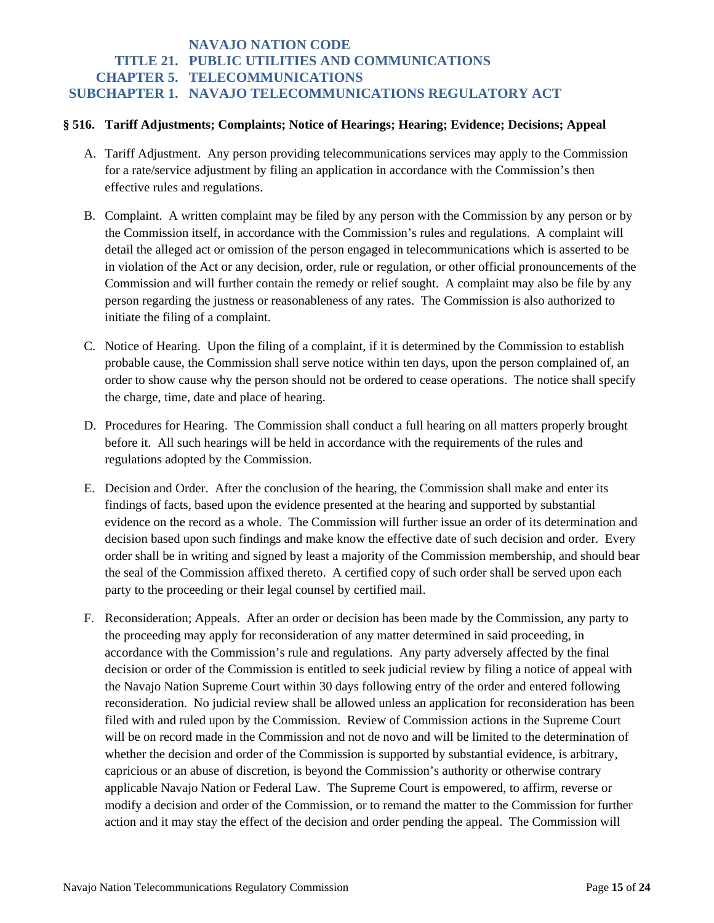#### **§ 516. Tariff Adjustments; Complaints; Notice of Hearings; Hearing; Evidence; Decisions; Appeal**

- A. Tariff Adjustment. Any person providing telecommunications services may apply to the Commission for a rate/service adjustment by filing an application in accordance with the Commission's then effective rules and regulations.
- B. Complaint. A written complaint may be filed by any person with the Commission by any person or by the Commission itself, in accordance with the Commission's rules and regulations. A complaint will detail the alleged act or omission of the person engaged in telecommunications which is asserted to be in violation of the Act or any decision, order, rule or regulation, or other official pronouncements of the Commission and will further contain the remedy or relief sought. A complaint may also be file by any person regarding the justness or reasonableness of any rates. The Commission is also authorized to initiate the filing of a complaint.
- C. Notice of Hearing. Upon the filing of a complaint, if it is determined by the Commission to establish probable cause, the Commission shall serve notice within ten days, upon the person complained of, an order to show cause why the person should not be ordered to cease operations. The notice shall specify the charge, time, date and place of hearing.
- D. Procedures for Hearing. The Commission shall conduct a full hearing on all matters properly brought before it. All such hearings will be held in accordance with the requirements of the rules and regulations adopted by the Commission.
- E. Decision and Order. After the conclusion of the hearing, the Commission shall make and enter its findings of facts, based upon the evidence presented at the hearing and supported by substantial evidence on the record as a whole. The Commission will further issue an order of its determination and decision based upon such findings and make know the effective date of such decision and order. Every order shall be in writing and signed by least a majority of the Commission membership, and should bear the seal of the Commission affixed thereto. A certified copy of such order shall be served upon each party to the proceeding or their legal counsel by certified mail.
- F. Reconsideration; Appeals. After an order or decision has been made by the Commission, any party to the proceeding may apply for reconsideration of any matter determined in said proceeding, in accordance with the Commission's rule and regulations. Any party adversely affected by the final decision or order of the Commission is entitled to seek judicial review by filing a notice of appeal with the Navajo Nation Supreme Court within 30 days following entry of the order and entered following reconsideration. No judicial review shall be allowed unless an application for reconsideration has been filed with and ruled upon by the Commission. Review of Commission actions in the Supreme Court will be on record made in the Commission and not de novo and will be limited to the determination of whether the decision and order of the Commission is supported by substantial evidence, is arbitrary, capricious or an abuse of discretion, is beyond the Commission's authority or otherwise contrary applicable Navajo Nation or Federal Law. The Supreme Court is empowered, to affirm, reverse or modify a decision and order of the Commission, or to remand the matter to the Commission for further action and it may stay the effect of the decision and order pending the appeal. The Commission will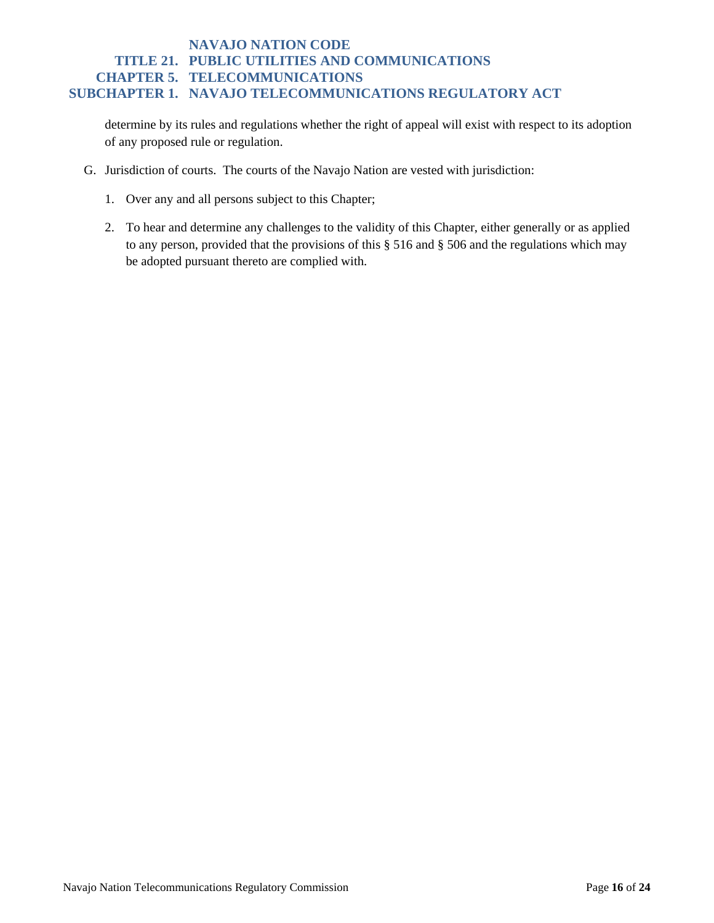determine by its rules and regulations whether the right of appeal will exist with respect to its adoption of any proposed rule or regulation.

- G. Jurisdiction of courts. The courts of the Navajo Nation are vested with jurisdiction:
	- 1. Over any and all persons subject to this Chapter;
	- 2. To hear and determine any challenges to the validity of this Chapter, either generally or as applied to any person, provided that the provisions of this § 516 and § 506 and the regulations which may be adopted pursuant thereto are complied with.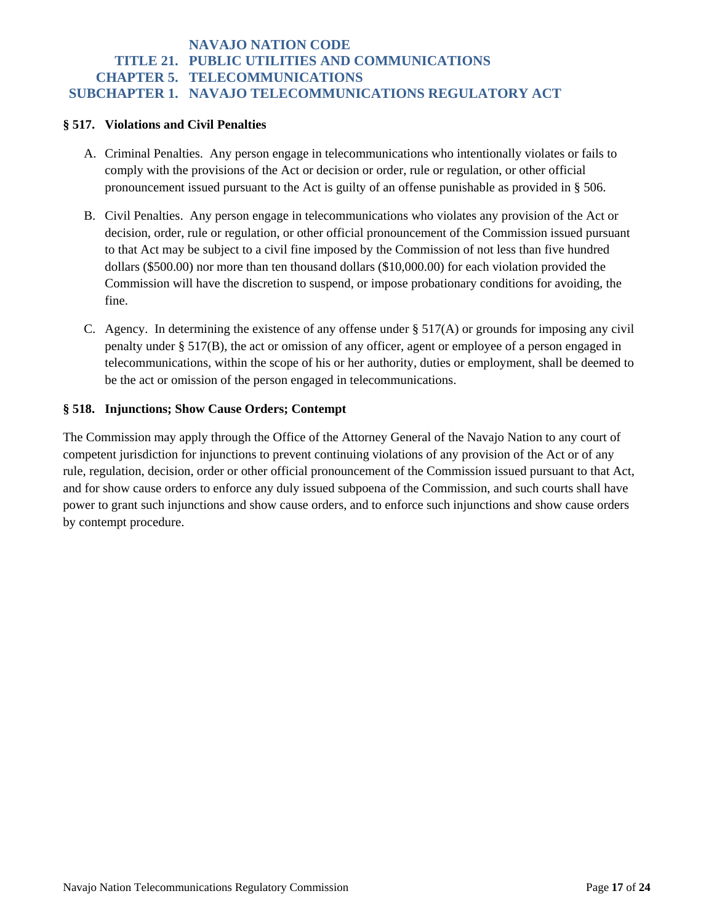#### **§ 517. Violations and Civil Penalties**

- A. Criminal Penalties. Any person engage in telecommunications who intentionally violates or fails to comply with the provisions of the Act or decision or order, rule or regulation, or other official pronouncement issued pursuant to the Act is guilty of an offense punishable as provided in § 506.
- B. Civil Penalties. Any person engage in telecommunications who violates any provision of the Act or decision, order, rule or regulation, or other official pronouncement of the Commission issued pursuant to that Act may be subject to a civil fine imposed by the Commission of not less than five hundred dollars (\$500.00) nor more than ten thousand dollars (\$10,000.00) for each violation provided the Commission will have the discretion to suspend, or impose probationary conditions for avoiding, the fine.
- C. Agency. In determining the existence of any offense under  $\S 517(A)$  or grounds for imposing any civil penalty under § 517(B), the act or omission of any officer, agent or employee of a person engaged in telecommunications, within the scope of his or her authority, duties or employment, shall be deemed to be the act or omission of the person engaged in telecommunications.

#### **§ 518. Injunctions; Show Cause Orders; Contempt**

The Commission may apply through the Office of the Attorney General of the Navajo Nation to any court of competent jurisdiction for injunctions to prevent continuing violations of any provision of the Act or of any rule, regulation, decision, order or other official pronouncement of the Commission issued pursuant to that Act, and for show cause orders to enforce any duly issued subpoena of the Commission, and such courts shall have power to grant such injunctions and show cause orders, and to enforce such injunctions and show cause orders by contempt procedure.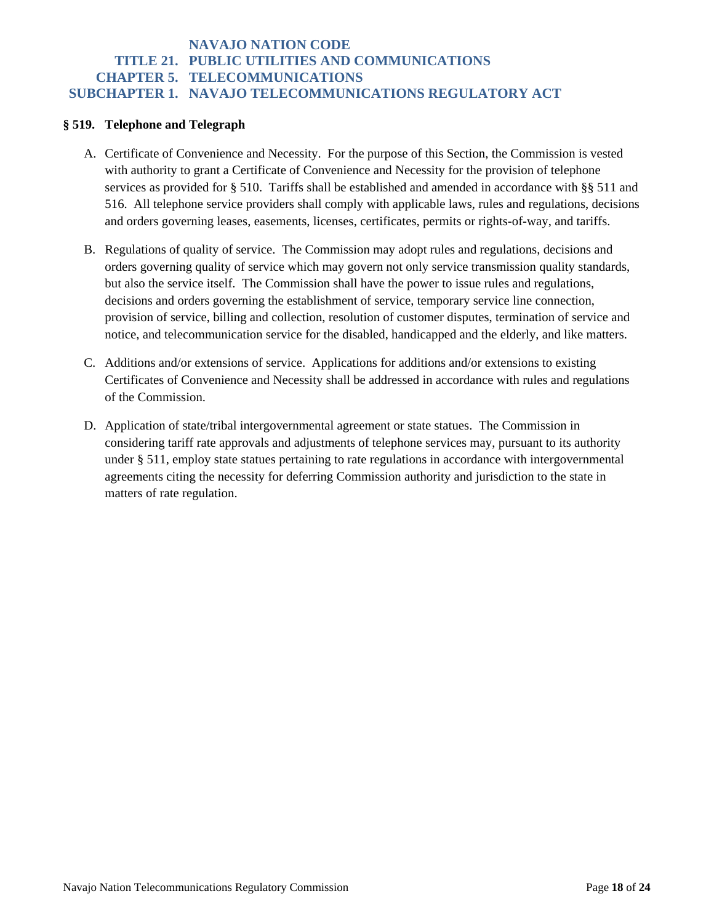### **§ 519. Telephone and Telegraph**

- A. Certificate of Convenience and Necessity. For the purpose of this Section, the Commission is vested with authority to grant a Certificate of Convenience and Necessity for the provision of telephone services as provided for § 510. Tariffs shall be established and amended in accordance with §§ 511 and 516. All telephone service providers shall comply with applicable laws, rules and regulations, decisions and orders governing leases, easements, licenses, certificates, permits or rights-of-way, and tariffs.
- B. Regulations of quality of service. The Commission may adopt rules and regulations, decisions and orders governing quality of service which may govern not only service transmission quality standards, but also the service itself. The Commission shall have the power to issue rules and regulations, decisions and orders governing the establishment of service, temporary service line connection, provision of service, billing and collection, resolution of customer disputes, termination of service and notice, and telecommunication service for the disabled, handicapped and the elderly, and like matters.
- C. Additions and/or extensions of service. Applications for additions and/or extensions to existing Certificates of Convenience and Necessity shall be addressed in accordance with rules and regulations of the Commission.
- D. Application of state/tribal intergovernmental agreement or state statues. The Commission in considering tariff rate approvals and adjustments of telephone services may, pursuant to its authority under § 511, employ state statues pertaining to rate regulations in accordance with intergovernmental agreements citing the necessity for deferring Commission authority and jurisdiction to the state in matters of rate regulation.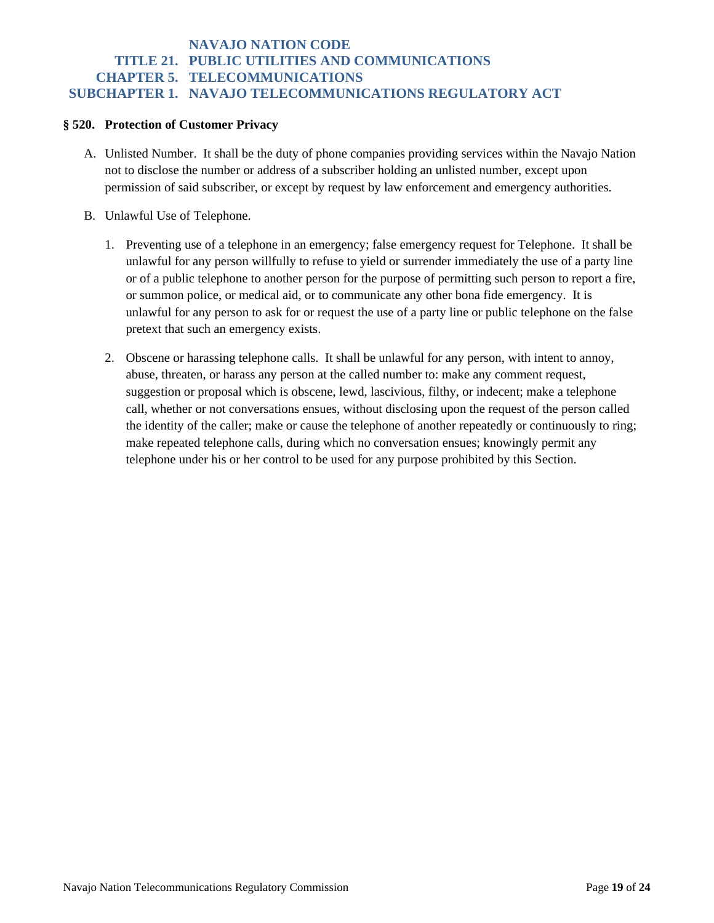#### **§ 520. Protection of Customer Privacy**

- A. Unlisted Number. It shall be the duty of phone companies providing services within the Navajo Nation not to disclose the number or address of a subscriber holding an unlisted number, except upon permission of said subscriber, or except by request by law enforcement and emergency authorities.
- B. Unlawful Use of Telephone.
	- 1. Preventing use of a telephone in an emergency; false emergency request for Telephone. It shall be unlawful for any person willfully to refuse to yield or surrender immediately the use of a party line or of a public telephone to another person for the purpose of permitting such person to report a fire, or summon police, or medical aid, or to communicate any other bona fide emergency. It is unlawful for any person to ask for or request the use of a party line or public telephone on the false pretext that such an emergency exists.
	- 2. Obscene or harassing telephone calls. It shall be unlawful for any person, with intent to annoy, abuse, threaten, or harass any person at the called number to: make any comment request, suggestion or proposal which is obscene, lewd, lascivious, filthy, or indecent; make a telephone call, whether or not conversations ensues, without disclosing upon the request of the person called the identity of the caller; make or cause the telephone of another repeatedly or continuously to ring; make repeated telephone calls, during which no conversation ensues; knowingly permit any telephone under his or her control to be used for any purpose prohibited by this Section.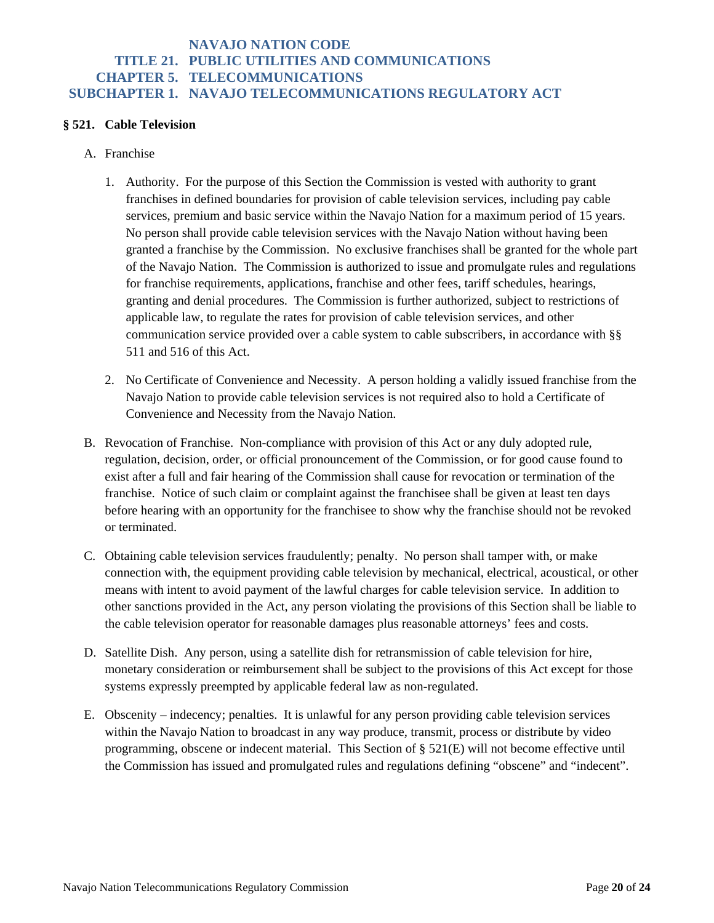#### **§ 521. Cable Television**

- A. Franchise
	- 1. Authority. For the purpose of this Section the Commission is vested with authority to grant franchises in defined boundaries for provision of cable television services, including pay cable services, premium and basic service within the Navajo Nation for a maximum period of 15 years. No person shall provide cable television services with the Navajo Nation without having been granted a franchise by the Commission. No exclusive franchises shall be granted for the whole part of the Navajo Nation. The Commission is authorized to issue and promulgate rules and regulations for franchise requirements, applications, franchise and other fees, tariff schedules, hearings, granting and denial procedures. The Commission is further authorized, subject to restrictions of applicable law, to regulate the rates for provision of cable television services, and other communication service provided over a cable system to cable subscribers, in accordance with §§ 511 and 516 of this Act.
	- 2. No Certificate of Convenience and Necessity. A person holding a validly issued franchise from the Navajo Nation to provide cable television services is not required also to hold a Certificate of Convenience and Necessity from the Navajo Nation.
- B. Revocation of Franchise. Non-compliance with provision of this Act or any duly adopted rule, regulation, decision, order, or official pronouncement of the Commission, or for good cause found to exist after a full and fair hearing of the Commission shall cause for revocation or termination of the franchise. Notice of such claim or complaint against the franchisee shall be given at least ten days before hearing with an opportunity for the franchisee to show why the franchise should not be revoked or terminated.
- C. Obtaining cable television services fraudulently; penalty. No person shall tamper with, or make connection with, the equipment providing cable television by mechanical, electrical, acoustical, or other means with intent to avoid payment of the lawful charges for cable television service. In addition to other sanctions provided in the Act, any person violating the provisions of this Section shall be liable to the cable television operator for reasonable damages plus reasonable attorneys' fees and costs.
- D. Satellite Dish. Any person, using a satellite dish for retransmission of cable television for hire, monetary consideration or reimbursement shall be subject to the provisions of this Act except for those systems expressly preempted by applicable federal law as non-regulated.
- E. Obscenity indecency; penalties. It is unlawful for any person providing cable television services within the Navajo Nation to broadcast in any way produce, transmit, process or distribute by video programming, obscene or indecent material. This Section of § 521(E) will not become effective until the Commission has issued and promulgated rules and regulations defining "obscene" and "indecent".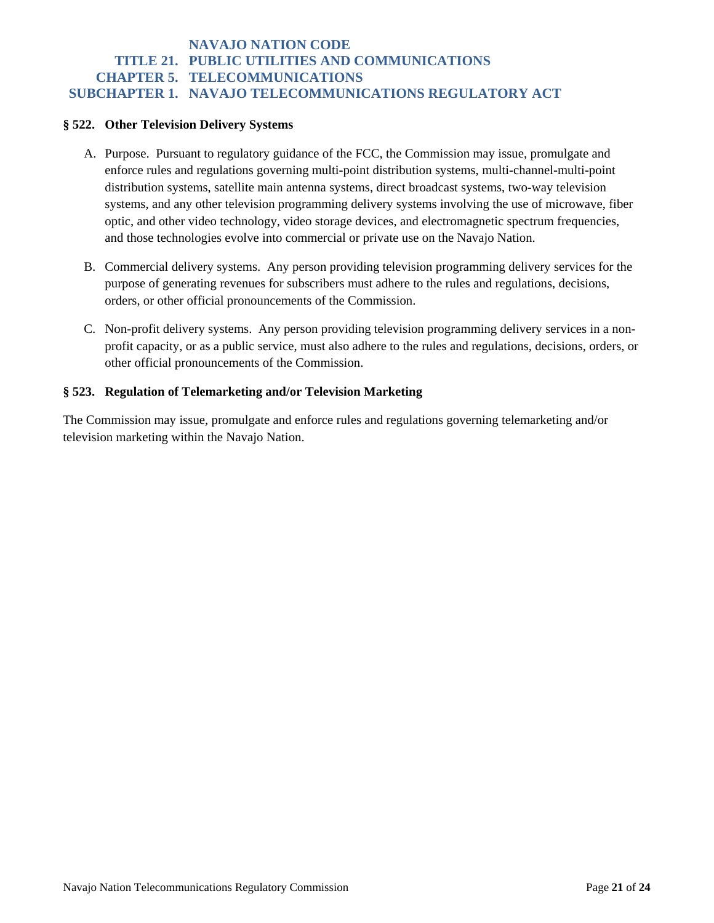#### **§ 522. Other Television Delivery Systems**

- A. Purpose. Pursuant to regulatory guidance of the FCC, the Commission may issue, promulgate and enforce rules and regulations governing multi-point distribution systems, multi-channel-multi-point distribution systems, satellite main antenna systems, direct broadcast systems, two-way television systems, and any other television programming delivery systems involving the use of microwave, fiber optic, and other video technology, video storage devices, and electromagnetic spectrum frequencies, and those technologies evolve into commercial or private use on the Navajo Nation.
- B. Commercial delivery systems. Any person providing television programming delivery services for the purpose of generating revenues for subscribers must adhere to the rules and regulations, decisions, orders, or other official pronouncements of the Commission.
- C. Non-profit delivery systems. Any person providing television programming delivery services in a nonprofit capacity, or as a public service, must also adhere to the rules and regulations, decisions, orders, or other official pronouncements of the Commission.

### **§ 523. Regulation of Telemarketing and/or Television Marketing**

The Commission may issue, promulgate and enforce rules and regulations governing telemarketing and/or television marketing within the Navajo Nation.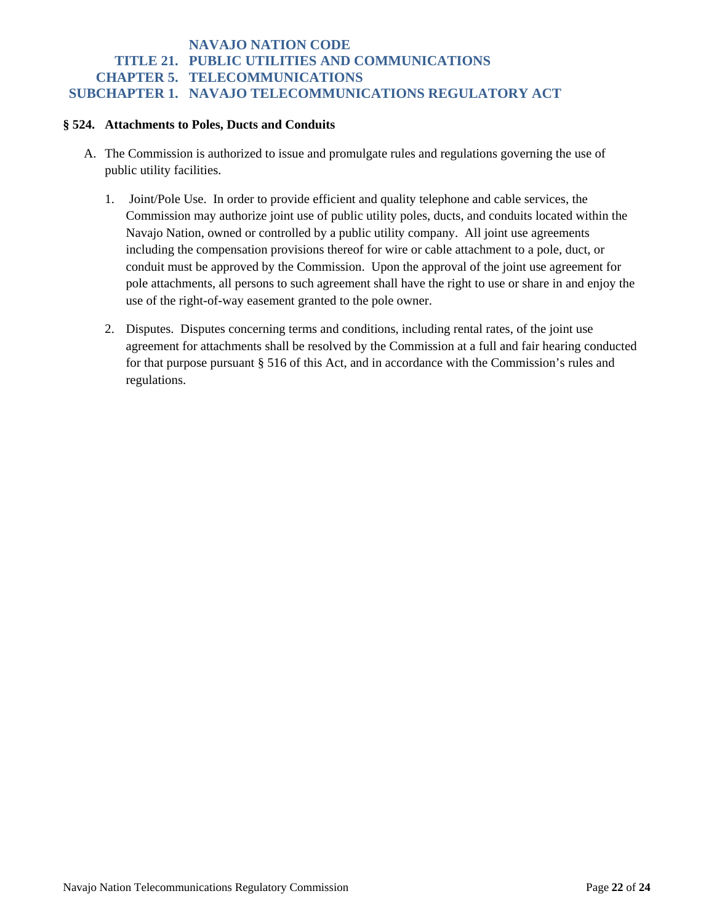#### **§ 524. Attachments to Poles, Ducts and Conduits**

- A. The Commission is authorized to issue and promulgate rules and regulations governing the use of public utility facilities.
	- 1. Joint/Pole Use. In order to provide efficient and quality telephone and cable services, the Commission may authorize joint use of public utility poles, ducts, and conduits located within the Navajo Nation, owned or controlled by a public utility company. All joint use agreements including the compensation provisions thereof for wire or cable attachment to a pole, duct, or conduit must be approved by the Commission. Upon the approval of the joint use agreement for pole attachments, all persons to such agreement shall have the right to use or share in and enjoy the use of the right-of-way easement granted to the pole owner.
	- 2. Disputes. Disputes concerning terms and conditions, including rental rates, of the joint use agreement for attachments shall be resolved by the Commission at a full and fair hearing conducted for that purpose pursuant § 516 of this Act, and in accordance with the Commission's rules and regulations.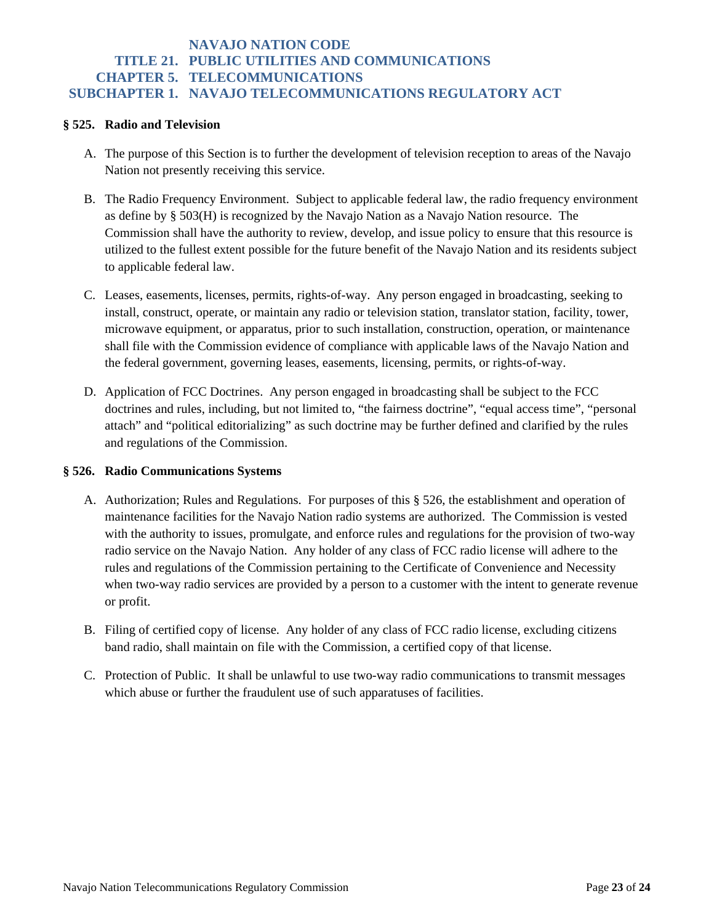#### **§ 525. Radio and Television**

- A. The purpose of this Section is to further the development of television reception to areas of the Navajo Nation not presently receiving this service.
- B. The Radio Frequency Environment. Subject to applicable federal law, the radio frequency environment as define by § 503(H) is recognized by the Navajo Nation as a Navajo Nation resource. The Commission shall have the authority to review, develop, and issue policy to ensure that this resource is utilized to the fullest extent possible for the future benefit of the Navajo Nation and its residents subject to applicable federal law.
- C. Leases, easements, licenses, permits, rights-of-way. Any person engaged in broadcasting, seeking to install, construct, operate, or maintain any radio or television station, translator station, facility, tower, microwave equipment, or apparatus, prior to such installation, construction, operation, or maintenance shall file with the Commission evidence of compliance with applicable laws of the Navajo Nation and the federal government, governing leases, easements, licensing, permits, or rights-of-way.
- D. Application of FCC Doctrines. Any person engaged in broadcasting shall be subject to the FCC doctrines and rules, including, but not limited to, "the fairness doctrine", "equal access time", "personal attach" and "political editorializing" as such doctrine may be further defined and clarified by the rules and regulations of the Commission.

#### **§ 526. Radio Communications Systems**

- A. Authorization; Rules and Regulations. For purposes of this § 526, the establishment and operation of maintenance facilities for the Navajo Nation radio systems are authorized. The Commission is vested with the authority to issues, promulgate, and enforce rules and regulations for the provision of two-way radio service on the Navajo Nation. Any holder of any class of FCC radio license will adhere to the rules and regulations of the Commission pertaining to the Certificate of Convenience and Necessity when two-way radio services are provided by a person to a customer with the intent to generate revenue or profit.
- B. Filing of certified copy of license. Any holder of any class of FCC radio license, excluding citizens band radio, shall maintain on file with the Commission, a certified copy of that license.
- C. Protection of Public. It shall be unlawful to use two-way radio communications to transmit messages which abuse or further the fraudulent use of such apparatuses of facilities.